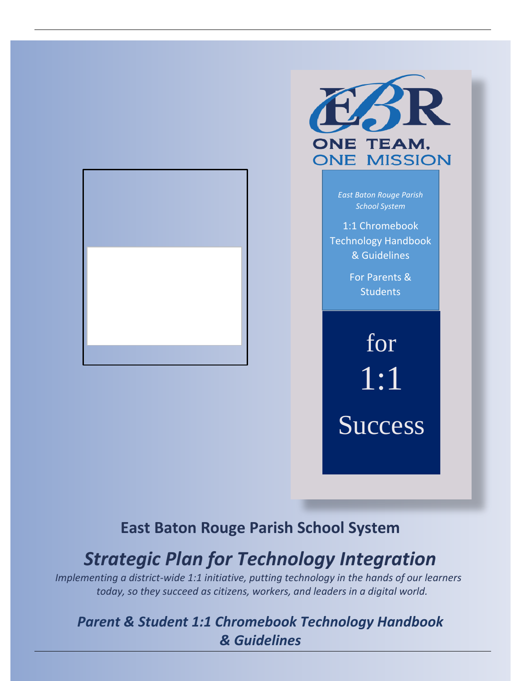



*East Baton Rouge Parish School System*

1:1 Chromebook Technology Handbook & Guidelines

> For Parents & **Students**

for 1:1 Success

# **East Baton Rouge Parish School System**

# *Strategic Plan for Technology Integration*

26 *Implementing a district-wide 1:1 initiative, putting technology in the hands of our learners today, so they succeed as citizens, workers, and leaders in a digital world.*

# *Parent & Student 1:1 Chromebook Technology Handbook & Guidelines*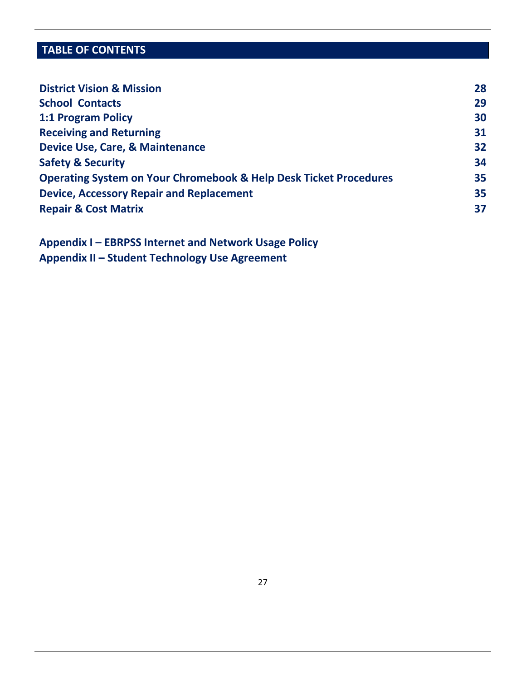# **TABLE OF CONTENTS**

| <b>District Vision &amp; Mission</b>                                         | 28 |
|------------------------------------------------------------------------------|----|
| <b>School Contacts</b>                                                       | 29 |
| 1:1 Program Policy                                                           | 30 |
| <b>Receiving and Returning</b>                                               | 31 |
| Device Use, Care, & Maintenance                                              | 32 |
| <b>Safety &amp; Security</b>                                                 | 34 |
| <b>Operating System on Your Chromebook &amp; Help Desk Ticket Procedures</b> | 35 |
| <b>Device, Accessory Repair and Replacement</b>                              | 35 |
| <b>Repair &amp; Cost Matrix</b>                                              | 37 |

**Appendix I – EBRPSS Internet and Network Usage Policy Appendix II – Student Technology Use Agreement**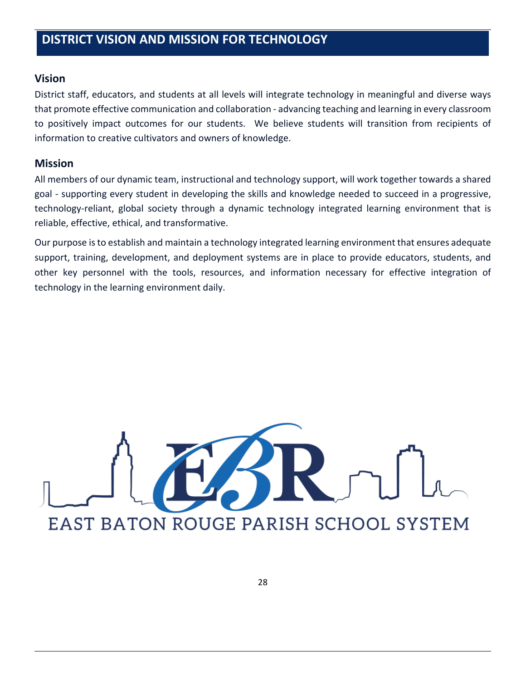#### **Vision**

District staff, educators, and students at all levels will integrate technology in meaningful and diverse ways that promote effective communication and collaboration - advancing teaching and learning in every classroom to positively impact outcomes for our students. We believe students will transition from recipients of information to creative cultivators and owners of knowledge.

#### **Mission**

All members of our dynamic team, instructional and technology support, will work together towards a shared goal - supporting every student in developing the skills and knowledge needed to succeed in a progressive, technology-reliant, global society through a dynamic technology integrated learning environment that is reliable, effective, ethical, and transformative.

Our purpose is to establish and maintain a technology integrated learning environment that ensures adequate support, training, development, and deployment systems are in place to provide educators, students, and other key personnel with the tools, resources, and information necessary for effective integration of technology in the learning environment daily.

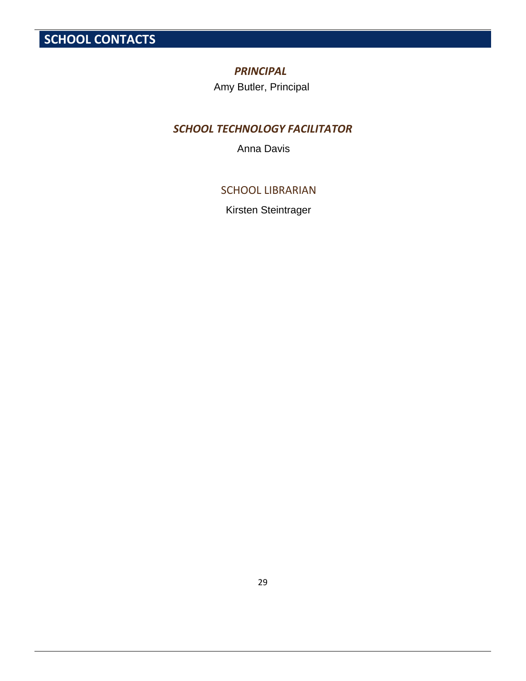**SCHOOL CONTACTS**

#### *PRINCIPAL*

# *SCHOOL TECHNOLOGY FACILITATOR*  Amy Butler, Principal<br>
OL TECHNOLOGY FACI<br>
Anna Davis<br>
SCHOOL LIBRARIAI<br>
Kirsten Steintrager

#### SCHOOL LIBRARIAN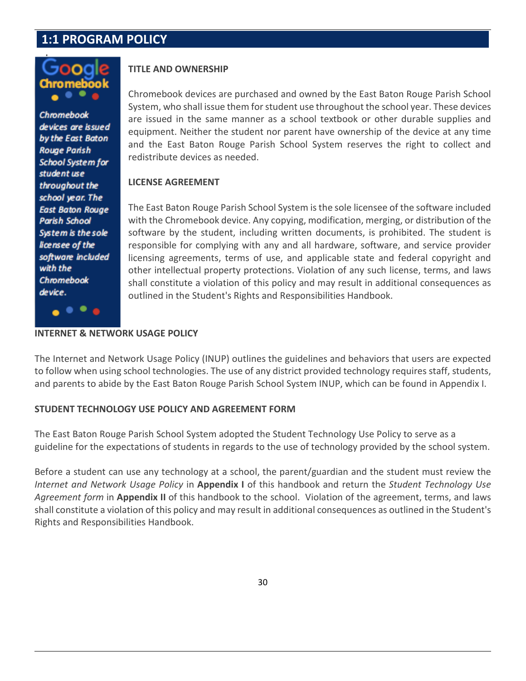## **1:1 PROGRAM POLICY**



**Chromebook** devices are issued by the East Baton **Rouge Parish School System for** student use throughout the school year. The **East Baton Rouge** Parish School System is the sole licensee of the software included with the Chromebook device.

#### **TITLE AND OWNERSHIP**

Chromebook devices are purchased and owned by the East Baton Rouge Parish School System, who shall issue them for student use throughout the school year. These devices are issued in the same manner as a school textbook or other durable supplies and equipment. Neither the student nor parent have ownership of the device at any time and the East Baton Rouge Parish School System reserves the right to collect and redistribute devices as needed.

#### **LICENSE AGREEMENT**

The East Baton Rouge Parish School System is the sole licensee of the software included with the Chromebook device. Any copying, modification, merging, or distribution of the software by the student, including written documents, is prohibited. The student is responsible for complying with any and all hardware, software, and service provider licensing agreements, terms of use, and applicable state and federal copyright and other intellectual property protections. Violation of any such license, terms, and laws shall constitute a violation of this policy and may result in additional consequences as outlined in the Student's Rights and Responsibilities Handbook.

#### **INTERNET & NETWORK USAGE POLICY**

The Internet and Network Usage Policy (INUP) outlines the guidelines and behaviors that users are expected to follow when using school technologies. The use of any district provided technology requires staff, students, and parents to abide by the East Baton Rouge Parish School System INUP, which can be found in Appendix I.

#### **STUDENT TECHNOLOGY USE POLICY AND AGREEMENT FORM**

The East Baton Rouge Parish School System adopted the Student Technology Use Policy to serve as a guideline for the expectations of students in regards to the use of technology provided by the school system.

Before a student can use any technology at a school, the parent/guardian and the student must review the *Internet and Network Usage Policy* in **Appendix I** of this handbook and return the *Student Technology Use Agreement form* in **Appendix II** of this handbook to the school. Violation of the agreement, terms, and laws shall constitute a violation of this policy and may result in additional consequences as outlined in the Student's Rights and Responsibilities Handbook.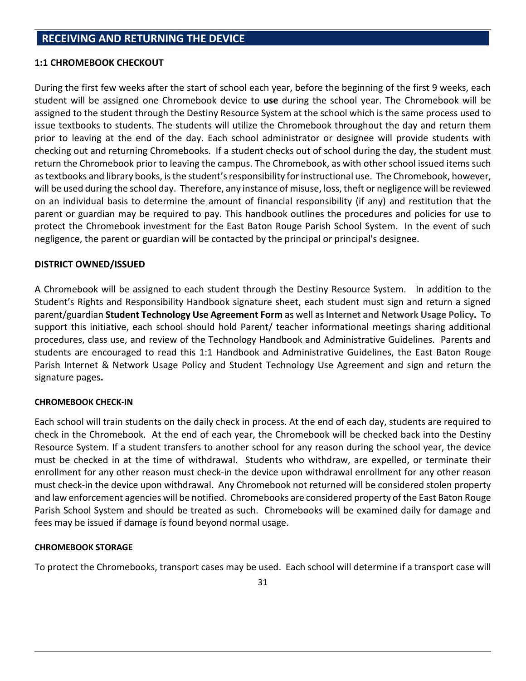#### **1:1 CHROMEBOOK CHECKOUT**

During the first few weeks after the start of school each year, before the beginning of the first 9 weeks, each student will be assigned one Chromebook device to **use** during the school year. The Chromebook will be assigned to the student through the Destiny Resource System at the school which is the same process used to issue textbooks to students. The students will utilize the Chromebook throughout the day and return them prior to leaving at the end of the day. Each school administrator or designee will provide students with checking out and returning Chromebooks. If a student checks out of school during the day, the student must return the Chromebook prior to leaving the campus. The Chromebook, as with other school issued items such as textbooks and library books, is the student's responsibility for instructional use. The Chromebook, however, will be used during the school day. Therefore, any instance of misuse, loss, theft or negligence will be reviewed on an individual basis to determine the amount of financial responsibility (if any) and restitution that the parent or guardian may be required to pay. This handbook outlines the procedures and policies for use to protect the Chromebook investment for the East Baton Rouge Parish School System. In the event of such negligence, the parent or guardian will be contacted by the principal or principal's designee.

#### **DISTRICT OWNED/ISSUED**

A Chromebook will be assigned to each student through the Destiny Resource System. In addition to the Student's Rights and Responsibility Handbook signature sheet, each student must sign and return a signed parent/guardian **Student Technology Use Agreement Form** as well as **Internet and Network Usage Policy.** To support this initiative, each school should hold Parent/ teacher informational meetings sharing additional procedures, class use, and review of the Technology Handbook and Administrative Guidelines. Parents and students are encouraged to read this 1:1 Handbook and Administrative Guidelines, the East Baton Rouge Parish Internet & Network Usage Policy and Student Technology Use Agreement and sign and return the signature pages**.**

#### **CHROMEBOOK CHECK-IN**

Each school will train students on the daily check in process. At the end of each day, students are required to check in the Chromebook. At the end of each year, the Chromebook will be checked back into the Destiny Resource System. If a student transfers to another school for any reason during the school year, the device must be checked in at the time of withdrawal. Students who withdraw, are expelled, or terminate their enrollment for any other reason must check-in the device upon withdrawal enrollment for any other reason must check-in the device upon withdrawal. Any Chromebook not returned will be considered stolen property and law enforcement agencies will be notified. Chromebooks are considered property of the East Baton Rouge Parish School System and should be treated as such. Chromebooks will be examined daily for damage and fees may be issued if damage is found beyond normal usage.

#### **CHROMEBOOK STORAGE**

To protect the Chromebooks, transport cases may be used. Each school will determine if a transport case will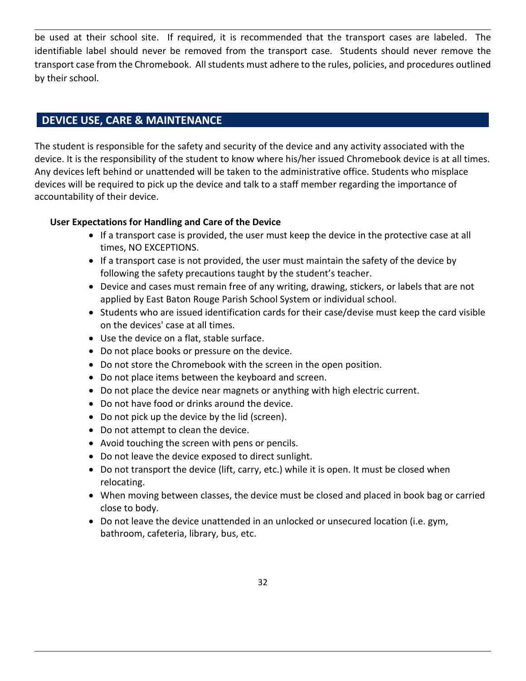be used at their school site. If required, it is recommended that the transport cases are labeled. The identifiable label should never be removed from the transport case. Students should never remove the transport case from the Chromebook. All students must adhere to the rules, policies, and procedures outlined by their school.

#### **DEVICE USE, CARE & MAINTENANCE**

The student is responsible for the safety and security of the device and any activity associated with the device. It is the responsibility of the student to know where his/her issued Chromebook device is at all times. Any devices left behind or unattended will be taken to the administrative office. Students who misplace devices will be required to pick up the device and talk to a staff member regarding the importance of accountability of their device.

#### **User Expectations for Handling and Care of the Device**

- If a transport case is provided, the user must keep the device in the protective case at all times, NO EXCEPTIONS.
- If a transport case is not provided, the user must maintain the safety of the device by following the safety precautions taught by the student's teacher.
- Device and cases must remain free of any writing, drawing, stickers, or labels that are not applied by East Baton Rouge Parish School System or individual school.
- Students who are issued identification cards for their case/devise must keep the card visible on the devices' case at all times.
- Use the device on a flat, stable surface.
- Do not place books or pressure on the device.
- Do not store the Chromebook with the screen in the open position.
- Do not place items between the keyboard and screen.
- Do not place the device near magnets or anything with high electric current.
- Do not have food or drinks around the device.
- Do not pick up the device by the lid (screen).
- Do not attempt to clean the device.
- Avoid touching the screen with pens or pencils.
- Do not leave the device exposed to direct sunlight.
- Do not transport the device (lift, carry, etc.) while it is open. It must be closed when relocating.
- When moving between classes, the device must be closed and placed in book bag or carried close to body.
- Do not leave the device unattended in an unlocked or unsecured location (i.e. gym, bathroom, cafeteria, library, bus, etc.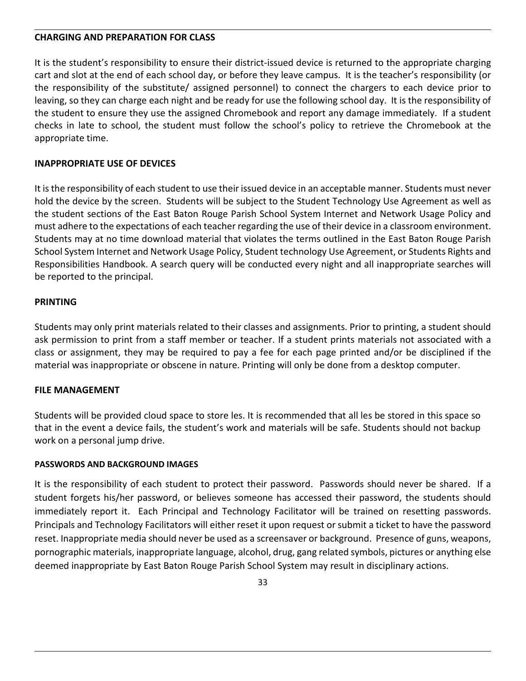#### **CHARGING AND PREPARATION FOR CLASS**

It is the student's responsibility to ensure their district-issued device is returned to the appropriate charging cart and slot at the end of each school day, or before they leave campus. It is the teacher's responsibility (or the responsibility of the substitute/ assigned personnel) to connect the chargers to each device prior to leaving, so they can charge each night and be ready for use the following school day. It is the responsibility of the student to ensure they use the assigned Chromebook and report any damage immediately. If a student checks in late to school, the student must follow the school's policy to retrieve the Chromebook at the appropriate time.

#### **INAPPROPRIATE USE OF DEVICES**

It is the responsibility of each student to use their issued device in an acceptable manner. Students must never hold the device by the screen. Students will be subject to the Student Technology Use Agreement as well as the student sections of the East Baton Rouge Parish School System Internet and Network Usage Policy and must adhere to the expectations of each teacher regarding the use of their device in a classroom environment. Students may at no time download material that violates the terms outlined in the East Baton Rouge Parish School System Internet and Network Usage Policy, Student technology Use Agreement, or Students Rights and Responsibilities Handbook. A search query will be conducted every night and all inappropriate searches will be reported to the principal.

#### **PRINTING**

Students may only print materials related to their classes and assignments. Prior to printing, a student should ask permission to print from a staff member or teacher. If a student prints materials not associated with a class or assignment, they may be required to pay a fee for each page printed and/or be disciplined if the material was inappropriate or obscene in nature. Printing will only be done from a desktop computer.

#### **FILE MANAGEMENT**

Students will be provided cloud space to store les. It is recommended that all les be stored in this space so that in the event a device fails, the student's work and materials will be safe. Students should not backup work on a personal jump drive.

#### **PASSWORDS AND BACKGROUND IMAGES**

It is the responsibility of each student to protect their password. Passwords should never be shared. If a student forgets his/her password, or believes someone has accessed their password, the students should immediately report it. Each Principal and Technology Facilitator will be trained on resetting passwords. Principals and Technology Facilitators will either reset it upon request or submit a ticket to have the password reset. Inappropriate media should never be used as a screensaver or background. Presence of guns, weapons, pornographic materials, inappropriate language, alcohol, drug, gang related symbols, pictures or anything else deemed inappropriate by East Baton Rouge Parish School System may result in disciplinary actions.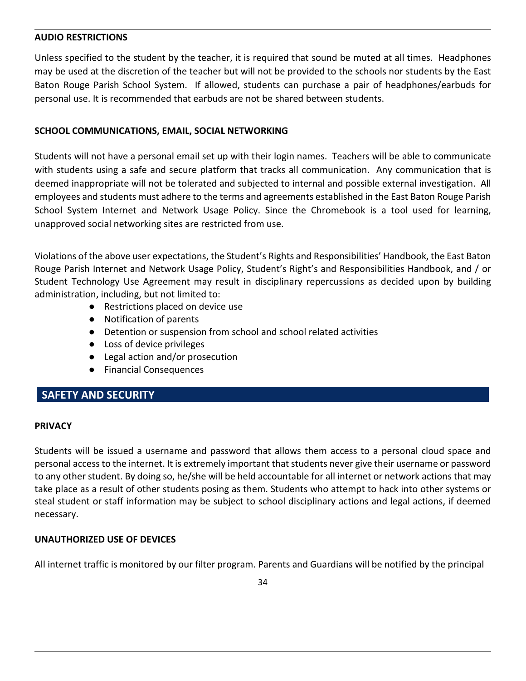#### **AUDIO RESTRICTIONS**

Unless specified to the student by the teacher, it is required that sound be muted at all times. Headphones may be used at the discretion of the teacher but will not be provided to the schools nor students by the East Baton Rouge Parish School System. If allowed, students can purchase a pair of headphones/earbuds for personal use. It is recommended that earbuds are not be shared between students.

#### **SCHOOL COMMUNICATIONS, EMAIL, SOCIAL NETWORKING**

Students will not have a personal email set up with their login names. Teachers will be able to communicate with students using a safe and secure platform that tracks all communication. Any communication that is deemed inappropriate will not be tolerated and subjected to internal and possible external investigation. All employees and students must adhere to the terms and agreements established in the East Baton Rouge Parish School System Internet and Network Usage Policy. Since the Chromebook is a tool used for learning, unapproved social networking sites are restricted from use.

Violations of the above user expectations, the Student's Rights and Responsibilities' Handbook, the East Baton Rouge Parish Internet and Network Usage Policy, Student's Right's and Responsibilities Handbook, and / or Student Technology Use Agreement may result in disciplinary repercussions as decided upon by building administration, including, but not limited to:

- Restrictions placed on device use
- Notification of parents
- Detention or suspension from school and school related activities
- Loss of device privileges
- Legal action and/or prosecution
- Financial Consequences

#### **SAFETY AND SECURITY**

#### **PRIVACY**

Students will be issued a username and password that allows them access to a personal cloud space and personal access to the internet. It is extremely important that students never give their username or password to any other student. By doing so, he/she will be held accountable for all internet or network actions that may take place as a result of other students posing as them. Students who attempt to hack into other systems or steal student or staff information may be subject to school disciplinary actions and legal actions, if deemed necessary.

#### **UNAUTHORIZED USE OF DEVICES**

All internet traffic is monitored by our filter program. Parents and Guardians will be notified by the principal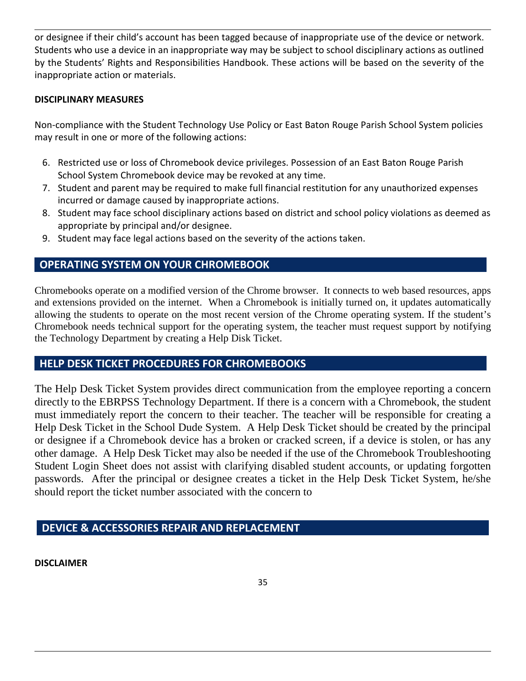or designee if their child's account has been tagged because of inappropriate use of the device or network. Students who use a device in an inappropriate way may be subject to school disciplinary actions as outlined by the Students' Rights and Responsibilities Handbook. These actions will be based on the severity of the inappropriate action or materials.

#### **DISCIPLINARY MEASURES**

Non-compliance with the Student Technology Use Policy or East Baton Rouge Parish School System policies may result in one or more of the following actions:

- 6. Restricted use or loss of Chromebook device privileges. Possession of an East Baton Rouge Parish School System Chromebook device may be revoked at any time.
- 7. Student and parent may be required to make full financial restitution for any unauthorized expenses incurred or damage caused by inappropriate actions.
- 8. Student may face school disciplinary actions based on district and school policy violations as deemed as appropriate by principal and/or designee.
- 9. Student may face legal actions based on the severity of the actions taken.

#### **OPERATING SYSTEM ON YOUR CHROMEBOOK**

Chromebooks operate on a modified version of the Chrome browser. It connects to web based resources, apps and extensions provided on the internet. When a Chromebook is initially turned on, it updates automatically allowing the students to operate on the most recent version of the Chrome operating system. If the student's Chromebook needs technical support for the operating system, the teacher must request support by notifying the Technology Department by creating a Help Disk Ticket.

#### **HELP DESK TICKET PROCEDURES FOR CHROMEBOOKS**

The Help Desk Ticket System provides direct communication from the employee reporting a concern directly to the EBRPSS Technology Department. If there is a concern with a Chromebook, the student must immediately report the concern to their teacher. The teacher will be responsible for creating a Help Desk Ticket in the School Dude System. A Help Desk Ticket should be created by the principal or designee if a Chromebook device has a broken or cracked screen, if a device is stolen, or has any other damage. A Help Desk Ticket may also be needed if the use of the Chromebook Troubleshooting Student Login Sheet does not assist with clarifying disabled student accounts, or updating forgotten passwords. After the principal or designee creates a ticket in the Help Desk Ticket System, he/she should report the ticket number associated with the concern to

#### **DEVICE & ACCESSORIES REPAIR AND REPLACEMENT**

**DISCLAIMER**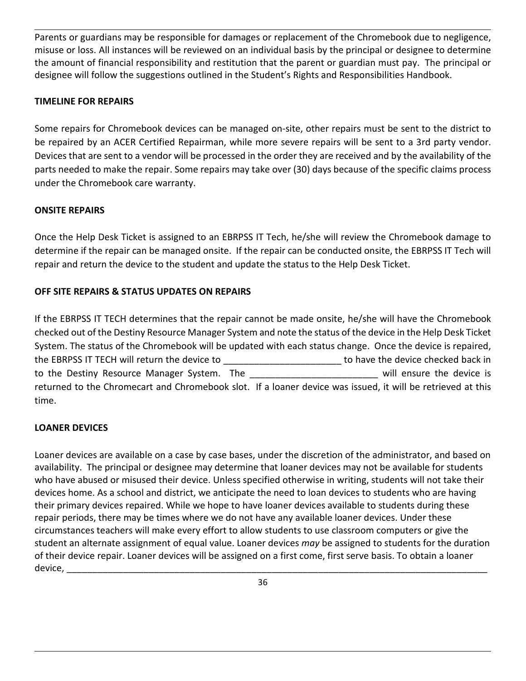Parents or guardians may be responsible for damages or replacement of the Chromebook due to negligence, misuse or loss. All instances will be reviewed on an individual basis by the principal or designee to determine the amount of financial responsibility and restitution that the parent or guardian must pay. The principal or designee will follow the suggestions outlined in the Student's Rights and Responsibilities Handbook.

#### **TIMELINE FOR REPAIRS**

Some repairs for Chromebook devices can be managed on-site, other repairs must be sent to the district to be repaired by an ACER Certified Repairman, while more severe repairs will be sent to a 3rd party vendor. Devices that are sent to a vendor will be processed in the order they are received and by the availability of the parts needed to make the repair. Some repairs may take over (30) days because of the specific claims process under the Chromebook care warranty.

#### **ONSITE REPAIRS**

Once the Help Desk Ticket is assigned to an EBRPSS IT Tech, he/she will review the Chromebook damage to determine if the repair can be managed onsite. If the repair can be conducted onsite, the EBRPSS IT Tech will repair and return the device to the student and update the status to the Help Desk Ticket.

#### **OFF SITE REPAIRS & STATUS UPDATES ON REPAIRS**

If the EBRPSS IT TECH determines that the repair cannot be made onsite, he/she will have the Chromebook checked out of the Destiny Resource Manager System and note the status of the device in the Help Desk Ticket System. The status of the Chromebook will be updated with each status change. Once the device is repaired, the EBRPSS IT TECH will return the device to entitled to the device checked back in to the Destiny Resource Manager System. The the same will ensure the device is returned to the Chromecart and Chromebook slot. If a loaner device was issued, it will be retrieved at this time.

#### **LOANER DEVICES**

Loaner devices are available on a case by case bases, under the discretion of the administrator, and based on availability. The principal or designee may determine that loaner devices may not be available for students who have abused or misused their device. Unless specified otherwise in writing, students will not take their devices home. As a school and district, we anticipate the need to loan devices to students who are having their primary devices repaired. While we hope to have loaner devices available to students during these repair periods, there may be times where we do not have any available loaner devices. Under these circumstances teachers will make every effort to allow students to use classroom computers or give the student an alternate assignment of equal value. Loaner devices *may* be assigned to students for the duration of their device repair. Loaner devices will be assigned on a first come, first serve basis. To obtain a loaner device, \_\_\_\_\_\_\_\_\_\_\_\_\_\_\_\_\_\_\_\_\_\_\_\_\_\_\_\_\_\_\_\_\_\_\_\_\_\_\_\_\_\_\_\_\_\_\_\_\_\_\_\_\_\_\_\_\_\_\_\_\_\_\_\_\_\_\_\_\_\_\_\_\_\_\_\_\_\_\_\_\_\_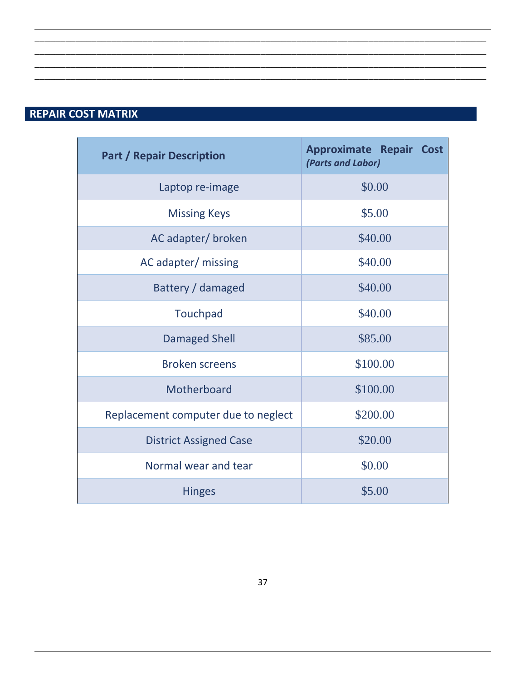# **REPAIR COST MATRIX**

| <b>Part / Repair Description</b>    | <b>Approximate Repair Cost</b><br>(Parts and Labor) |
|-------------------------------------|-----------------------------------------------------|
| Laptop re-image                     | \$0.00                                              |
| <b>Missing Keys</b>                 | \$5.00                                              |
| AC adapter/ broken                  | \$40.00                                             |
| AC adapter/ missing                 | \$40.00                                             |
| Battery / damaged                   | \$40.00                                             |
| Touchpad                            | \$40.00                                             |
| <b>Damaged Shell</b>                | \$85.00                                             |
| <b>Broken screens</b>               | \$100.00                                            |
| Motherboard                         | \$100.00                                            |
| Replacement computer due to neglect | \$200.00                                            |
| <b>District Assigned Case</b>       | \$20.00                                             |
| Normal wear and tear                | \$0.00                                              |
| <b>Hinges</b>                       | \$5.00                                              |

\_\_\_\_\_\_\_\_\_\_\_\_\_\_\_\_\_\_\_\_\_\_\_\_\_\_\_\_\_\_\_\_\_\_\_\_\_\_\_\_\_\_\_\_\_\_\_\_\_\_\_\_\_\_\_\_\_\_\_\_\_\_\_\_\_\_\_\_\_\_\_\_\_\_\_\_\_\_\_\_\_\_\_\_\_\_\_\_ \_\_\_\_\_\_\_\_\_\_\_\_\_\_\_\_\_\_\_\_\_\_\_\_\_\_\_\_\_\_\_\_\_\_\_\_\_\_\_\_\_\_\_\_\_\_\_\_\_\_\_\_\_\_\_\_\_\_\_\_\_\_\_\_\_\_\_\_\_\_\_\_\_\_\_\_\_\_\_\_\_\_\_\_\_\_\_\_ \_\_\_\_\_\_\_\_\_\_\_\_\_\_\_\_\_\_\_\_\_\_\_\_\_\_\_\_\_\_\_\_\_\_\_\_\_\_\_\_\_\_\_\_\_\_\_\_\_\_\_\_\_\_\_\_\_\_\_\_\_\_\_\_\_\_\_\_\_\_\_\_\_\_\_\_\_\_\_\_\_\_\_\_\_\_\_\_ \_\_\_\_\_\_\_\_\_\_\_\_\_\_\_\_\_\_\_\_\_\_\_\_\_\_\_\_\_\_\_\_\_\_\_\_\_\_\_\_\_\_\_\_\_\_\_\_\_\_\_\_\_\_\_\_\_\_\_\_\_\_\_\_\_\_\_\_\_\_\_\_\_\_\_\_\_\_\_\_\_\_\_\_\_\_\_\_

L,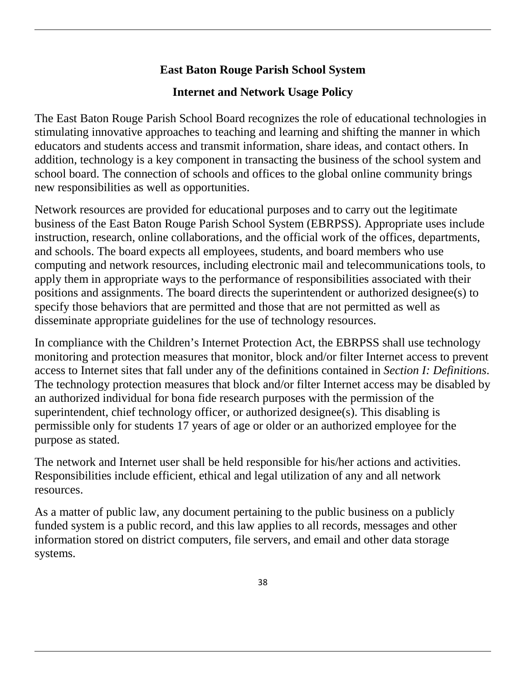## **East Baton Rouge Parish School System**

## **Internet and Network Usage Policy**

The East Baton Rouge Parish School Board recognizes the role of educational technologies in stimulating innovative approaches to teaching and learning and shifting the manner in which educators and students access and transmit information, share ideas, and contact others. In addition, technology is a key component in transacting the business of the school system and school board. The connection of schools and offices to the global online community brings new responsibilities as well as opportunities.

Network resources are provided for educational purposes and to carry out the legitimate business of the East Baton Rouge Parish School System (EBRPSS). Appropriate uses include instruction, research, online collaborations, and the official work of the offices, departments, and schools. The board expects all employees, students, and board members who use computing and network resources, including electronic mail and telecommunications tools, to apply them in appropriate ways to the performance of responsibilities associated with their positions and assignments. The board directs the superintendent or authorized designee(s) to specify those behaviors that are permitted and those that are not permitted as well as disseminate appropriate guidelines for the use of technology resources.

In compliance with the Children's Internet Protection Act, the EBRPSS shall use technology monitoring and protection measures that monitor, block and/or filter Internet access to prevent access to Internet sites that fall under any of the definitions contained in *Section I: Definitions*. The technology protection measures that block and/or filter Internet access may be disabled by an authorized individual for bona fide research purposes with the permission of the superintendent, chief technology officer, or authorized designee(s). This disabling is permissible only for students 17 years of age or older or an authorized employee for the purpose as stated.

The network and Internet user shall be held responsible for his/her actions and activities. Responsibilities include efficient, ethical and legal utilization of any and all network resources.

As a matter of public law, any document pertaining to the public business on a publicly funded system is a public record, and this law applies to all records, messages and other information stored on district computers, file servers, and email and other data storage systems.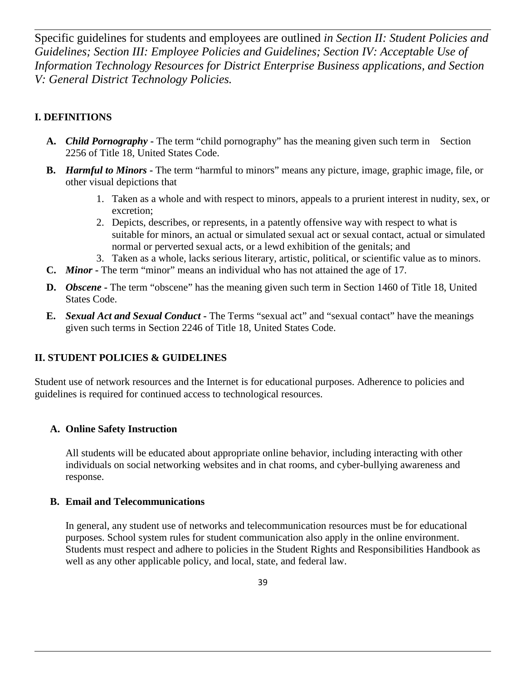Specific guidelines for students and employees are outlined *in Section II: Student Policies and Guidelines; Section III: Employee Policies and Guidelines; Section IV: Acceptable Use of Information Technology Resources for District Enterprise Business applications, and Section V: General District Technology Policies.*

#### **I. DEFINITIONS**

- A. *Child Pornography* The term "child pornography" has the meaning given such term in Section 2256 of Title 18, United States Code.
- **B.** *Harmful to Minors* The term "harmful to minors" means any picture, image, graphic image, file, or other visual depictions that
	- 1. Taken as a whole and with respect to minors, appeals to a prurient interest in nudity, sex, or excretion;
	- 2. Depicts, describes, or represents, in a patently offensive way with respect to what is suitable for minors, an actual or simulated sexual act or sexual contact, actual or simulated normal or perverted sexual acts, or a lewd exhibition of the genitals; and
	- 3. Taken as a whole, lacks serious literary, artistic, political, or scientific value as to minors.
- **C.** *Minor* **-** The term "minor" means an individual who has not attained the age of 17.
- **D.** *Obscene* **-** The term "obscene" has the meaning given such term in Section 1460 of Title 18, United States Code.
- **E.** *Sexual Act and Sexual Conduct* **-** The Terms "sexual act" and "sexual contact" have the meanings given such terms in Section 2246 of Title 18, United States Code.

#### **II. STUDENT POLICIES & GUIDELINES**

Student use of network resources and the Internet is for educational purposes. Adherence to policies and guidelines is required for continued access to technological resources.

#### **A. Online Safety Instruction**

All students will be educated about appropriate online behavior, including interacting with other individuals on social networking websites and in chat rooms, and cyber-bullying awareness and response.

#### **B. Email and Telecommunications**

In general, any student use of networks and telecommunication resources must be for educational purposes. School system rules for student communication also apply in the online environment. Students must respect and adhere to policies in the Student Rights and Responsibilities Handbook as well as any other applicable policy, and local, state, and federal law.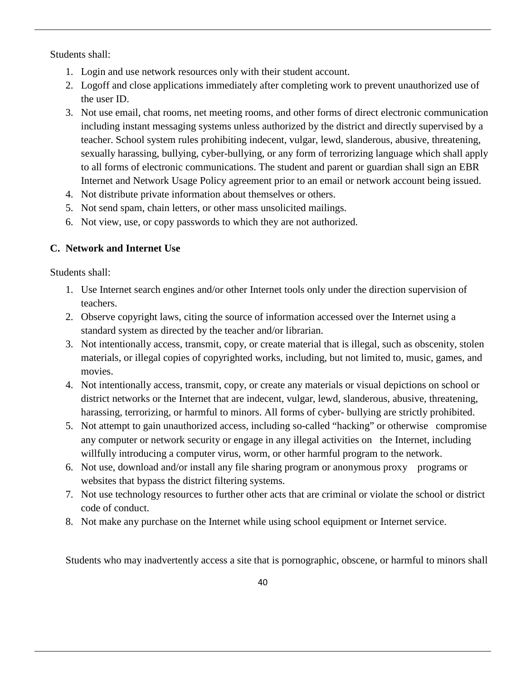Students shall:

- 1. Login and use network resources only with their student account.
- 2. Logoff and close applications immediately after completing work to prevent unauthorized use of the user ID.
- 3. Not use email, chat rooms, net meeting rooms, and other forms of direct electronic communication including instant messaging systems unless authorized by the district and directly supervised by a teacher. School system rules prohibiting indecent, vulgar, lewd, slanderous, abusive, threatening, sexually harassing, bullying, cyber-bullying, or any form of terrorizing language which shall apply to all forms of electronic communications. The student and parent or guardian shall sign an EBR Internet and Network Usage Policy agreement prior to an email or network account being issued.
- 4. Not distribute private information about themselves or others.
- 5. Not send spam, chain letters, or other mass unsolicited mailings.
- 6. Not view, use, or copy passwords to which they are not authorized.

#### **C. Network and Internet Use**

Students shall:

- 1. Use Internet search engines and/or other Internet tools only under the direction supervision of teachers.
- 2. Observe copyright laws, citing the source of information accessed over the Internet using a standard system as directed by the teacher and/or librarian.
- 3. Not intentionally access, transmit, copy, or create material that is illegal, such as obscenity, stolen materials, or illegal copies of copyrighted works, including, but not limited to, music, games, and movies.
- 4. Not intentionally access, transmit, copy, or create any materials or visual depictions on school or district networks or the Internet that are indecent, vulgar, lewd, slanderous, abusive, threatening, harassing, terrorizing, or harmful to minors. All forms of cyber- bullying are strictly prohibited.
- 5. Not attempt to gain unauthorized access, including so-called "hacking" or otherwise compromise any computer or network security or engage in any illegal activities on the Internet, including willfully introducing a computer virus, worm, or other harmful program to the network.
- 6. Not use, download and/or install any file sharing program or anonymous proxy programs or websites that bypass the district filtering systems.
- 7. Not use technology resources to further other acts that are criminal or violate the school or district code of conduct.
- 8. Not make any purchase on the Internet while using school equipment or Internet service.

Students who may inadvertently access a site that is pornographic, obscene, or harmful to minors shall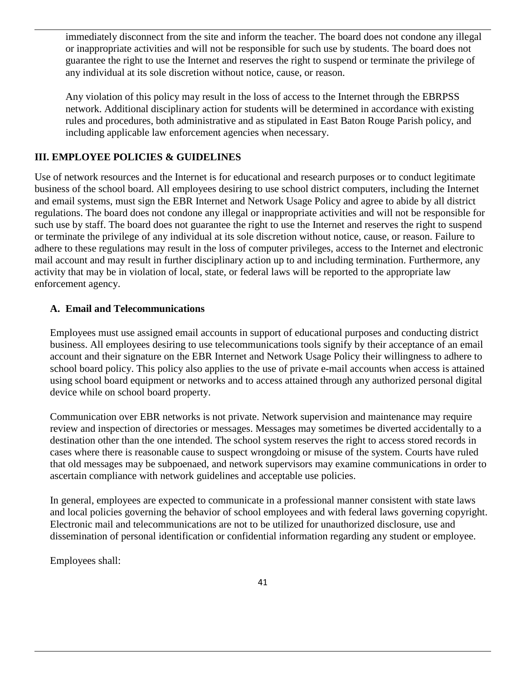immediately disconnect from the site and inform the teacher. The board does not condone any illegal or inappropriate activities and will not be responsible for such use by students. The board does not guarantee the right to use the Internet and reserves the right to suspend or terminate the privilege of any individual at its sole discretion without notice, cause, or reason.

Any violation of this policy may result in the loss of access to the Internet through the EBRPSS network. Additional disciplinary action for students will be determined in accordance with existing rules and procedures, both administrative and as stipulated in East Baton Rouge Parish policy, and including applicable law enforcement agencies when necessary.

#### **III. EMPLOYEE POLICIES & GUIDELINES**

Use of network resources and the Internet is for educational and research purposes or to conduct legitimate business of the school board. All employees desiring to use school district computers, including the Internet and email systems, must sign the EBR Internet and Network Usage Policy and agree to abide by all district regulations. The board does not condone any illegal or inappropriate activities and will not be responsible for such use by staff. The board does not guarantee the right to use the Internet and reserves the right to suspend or terminate the privilege of any individual at its sole discretion without notice, cause, or reason. Failure to adhere to these regulations may result in the loss of computer privileges, access to the Internet and electronic mail account and may result in further disciplinary action up to and including termination. Furthermore, any activity that may be in violation of local, state, or federal laws will be reported to the appropriate law enforcement agency.

#### **A. Email and Telecommunications**

Employees must use assigned email accounts in support of educational purposes and conducting district business. All employees desiring to use telecommunications tools signify by their acceptance of an email account and their signature on the EBR Internet and Network Usage Policy their willingness to adhere to school board policy. This policy also applies to the use of private e-mail accounts when access is attained using school board equipment or networks and to access attained through any authorized personal digital device while on school board property.

Communication over EBR networks is not private. Network supervision and maintenance may require review and inspection of directories or messages. Messages may sometimes be diverted accidentally to a destination other than the one intended. The school system reserves the right to access stored records in cases where there is reasonable cause to suspect wrongdoing or misuse of the system. Courts have ruled that old messages may be subpoenaed, and network supervisors may examine communications in order to ascertain compliance with network guidelines and acceptable use policies.

In general, employees are expected to communicate in a professional manner consistent with state laws and local policies governing the behavior of school employees and with federal laws governing copyright. Electronic mail and telecommunications are not to be utilized for unauthorized disclosure, use and dissemination of personal identification or confidential information regarding any student or employee.

Employees shall: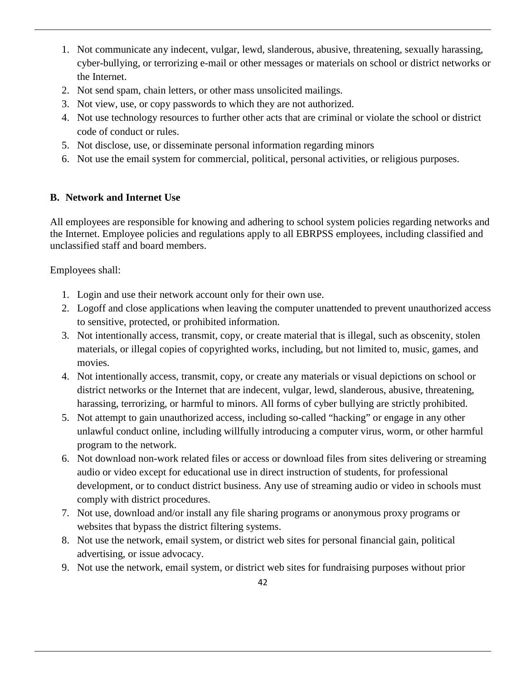- 1. Not communicate any indecent, vulgar, lewd, slanderous, abusive, threatening, sexually harassing, cyber-bullying, or terrorizing e-mail or other messages or materials on school or district networks or the Internet.
- 2. Not send spam, chain letters, or other mass unsolicited mailings.
- 3. Not view, use, or copy passwords to which they are not authorized.
- 4. Not use technology resources to further other acts that are criminal or violate the school or district code of conduct or rules.
- 5. Not disclose, use, or disseminate personal information regarding minors
- 6. Not use the email system for commercial, political, personal activities, or religious purposes.

#### **B. Network and Internet Use**

All employees are responsible for knowing and adhering to school system policies regarding networks and the Internet. Employee policies and regulations apply to all EBRPSS employees, including classified and unclassified staff and board members.

Employees shall:

- 1. Login and use their network account only for their own use.
- 2. Logoff and close applications when leaving the computer unattended to prevent unauthorized access to sensitive, protected, or prohibited information.
- 3. Not intentionally access, transmit, copy, or create material that is illegal, such as obscenity, stolen materials, or illegal copies of copyrighted works, including, but not limited to, music, games, and movies.
- 4. Not intentionally access, transmit, copy, or create any materials or visual depictions on school or district networks or the Internet that are indecent, vulgar, lewd, slanderous, abusive, threatening, harassing, terrorizing, or harmful to minors. All forms of cyber bullying are strictly prohibited.
- 5. Not attempt to gain unauthorized access, including so-called "hacking" or engage in any other unlawful conduct online, including willfully introducing a computer virus, worm, or other harmful program to the network.
- 6. Not download non-work related files or access or download files from sites delivering or streaming audio or video except for educational use in direct instruction of students, for professional development, or to conduct district business. Any use of streaming audio or video in schools must comply with district procedures.
- 7. Not use, download and/or install any file sharing programs or anonymous proxy programs or websites that bypass the district filtering systems.
- 8. Not use the network, email system, or district web sites for personal financial gain, political advertising, or issue advocacy.
- 9. Not use the network, email system, or district web sites for fundraising purposes without prior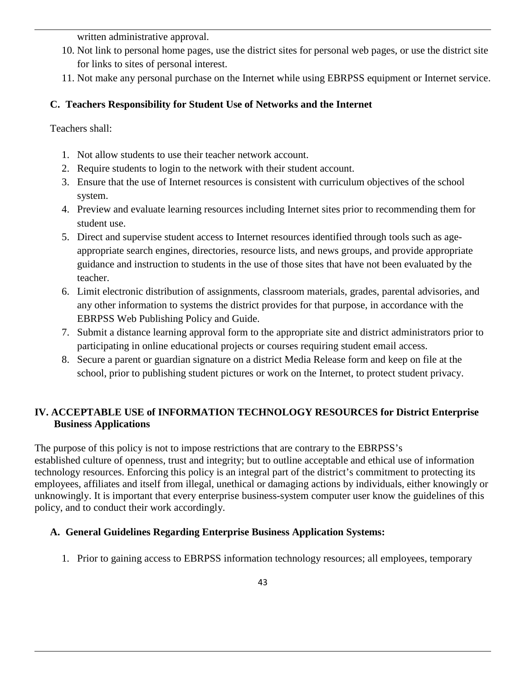written administrative approval.

- 10. Not link to personal home pages, use the district sites for personal web pages, or use the district site for links to sites of personal interest.
- 11. Not make any personal purchase on the Internet while using EBRPSS equipment or Internet service.

#### **C. Teachers Responsibility for Student Use of Networks and the Internet**

Teachers shall:

- 1. Not allow students to use their teacher network account.
- 2. Require students to login to the network with their student account.
- 3. Ensure that the use of Internet resources is consistent with curriculum objectives of the school system.
- 4. Preview and evaluate learning resources including Internet sites prior to recommending them for student use.
- 5. Direct and supervise student access to Internet resources identified through tools such as ageappropriate search engines, directories, resource lists, and news groups, and provide appropriate guidance and instruction to students in the use of those sites that have not been evaluated by the teacher.
- 6. Limit electronic distribution of assignments, classroom materials, grades, parental advisories, and any other information to systems the district provides for that purpose, in accordance with the EBRPSS Web Publishing Policy and Guide.
- 7. Submit a distance learning approval form to the appropriate site and district administrators prior to participating in online educational projects or courses requiring student email access.
- 8. Secure a parent or guardian signature on a district Media Release form and keep on file at the school, prior to publishing student pictures or work on the Internet, to protect student privacy.

#### **IV. ACCEPTABLE USE of INFORMATION TECHNOLOGY RESOURCES for District Enterprise Business Applications**

The purpose of this policy is not to impose restrictions that are contrary to the EBRPSS's established culture of openness, trust and integrity; but to outline acceptable and ethical use of information technology resources. Enforcing this policy is an integral part of the district's commitment to protecting its employees, affiliates and itself from illegal, unethical or damaging actions by individuals, either knowingly or unknowingly. It is important that every enterprise business-system computer user know the guidelines of this policy, and to conduct their work accordingly.

#### **A. General Guidelines Regarding Enterprise Business Application Systems:**

1. Prior to gaining access to EBRPSS information technology resources; all employees, temporary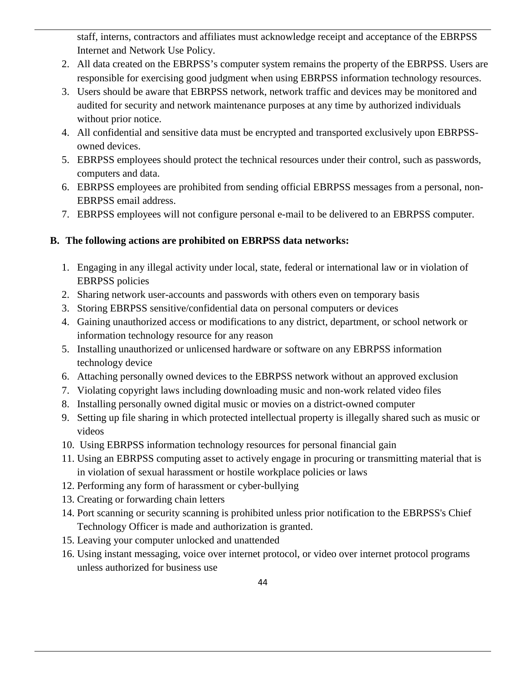staff, interns, contractors and affiliates must acknowledge receipt and acceptance of the EBRPSS Internet and Network Use Policy.

- 2. All data created on the EBRPSS's computer system remains the property of the EBRPSS. Users are responsible for exercising good judgment when using EBRPSS information technology resources.
- 3. Users should be aware that EBRPSS network, network traffic and devices may be monitored and audited for security and network maintenance purposes at any time by authorized individuals without prior notice.
- 4. All confidential and sensitive data must be encrypted and transported exclusively upon EBRPSSowned devices.
- 5. EBRPSS employees should protect the technical resources under their control, such as passwords, computers and data.
- 6. EBRPSS employees are prohibited from sending official EBRPSS messages from a personal, non-EBRPSS email address.
- 7. EBRPSS employees will not configure personal e-mail to be delivered to an EBRPSS computer.

#### **B. The following actions are prohibited on EBRPSS data networks:**

- 1. Engaging in any illegal activity under local, state, federal or international law or in violation of EBRPSS policies
- 2. Sharing network user-accounts and passwords with others even on temporary basis
- 3. Storing EBRPSS sensitive/confidential data on personal computers or devices
- 4. Gaining unauthorized access or modifications to any district, department, or school network or information technology resource for any reason
- 5. Installing unauthorized or unlicensed hardware or software on any EBRPSS information technology device
- 6. Attaching personally owned devices to the EBRPSS network without an approved exclusion
- 7. Violating copyright laws including downloading music and non-work related video files
- 8. Installing personally owned digital music or movies on a district-owned computer
- 9. Setting up file sharing in which protected intellectual property is illegally shared such as music or videos
- 10. Using EBRPSS information technology resources for personal financial gain
- 11. Using an EBRPSS computing asset to actively engage in procuring or transmitting material that is in violation of sexual harassment or hostile workplace policies or laws
- 12. Performing any form of harassment or cyber-bullying
- 13. Creating or forwarding chain letters
- 14. Port scanning or security scanning is prohibited unless prior notification to the EBRPSS's Chief Technology Officer is made and authorization is granted.
- 15. Leaving your computer unlocked and unattended
- 16. Using instant messaging, voice over internet protocol, or video over internet protocol programs unless authorized for business use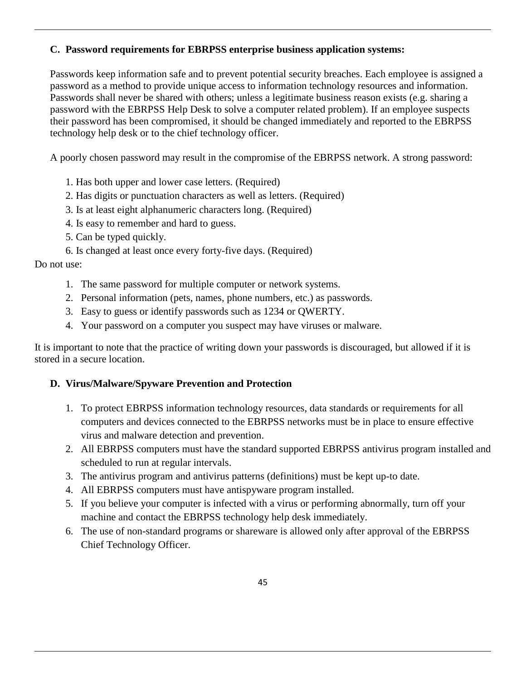#### **C. Password requirements for EBRPSS enterprise business application systems:**

Passwords keep information safe and to prevent potential security breaches. Each employee is assigned a password as a method to provide unique access to information technology resources and information. Passwords shall never be shared with others; unless a legitimate business reason exists (e.g. sharing a password with the EBRPSS Help Desk to solve a computer related problem). If an employee suspects their password has been compromised, it should be changed immediately and reported to the EBRPSS technology help desk or to the chief technology officer.

A poorly chosen password may result in the compromise of the EBRPSS network. A strong password:

- 1. Has both upper and lower case letters. (Required)
- 2. Has digits or punctuation characters as well as letters. (Required)
- 3. Is at least eight alphanumeric characters long. (Required)
- 4. Is easy to remember and hard to guess.
- 5. Can be typed quickly.
- 6. Is changed at least once every forty-five days. (Required)

#### Do not use:

- 1. The same password for multiple computer or network systems.
- 2. Personal information (pets, names, phone numbers, etc.) as passwords.
- 3. Easy to guess or identify passwords such as 1234 or QWERTY.
- 4. Your password on a computer you suspect may have viruses or malware.

It is important to note that the practice of writing down your passwords is discouraged, but allowed if it is stored in a secure location.

#### **D. Virus/Malware/Spyware Prevention and Protection**

- 1. To protect EBRPSS information technology resources, data standards or requirements for all computers and devices connected to the EBRPSS networks must be in place to ensure effective virus and malware detection and prevention.
- 2. All EBRPSS computers must have the standard supported EBRPSS antivirus program installed and scheduled to run at regular intervals.
- 3. The antivirus program and antivirus patterns (definitions) must be kept up-to date.
- 4. All EBRPSS computers must have antispyware program installed.
- 5. If you believe your computer is infected with a virus or performing abnormally, turn off your machine and contact the EBRPSS technology help desk immediately.
- 6. The use of non-standard programs or shareware is allowed only after approval of the EBRPSS Chief Technology Officer.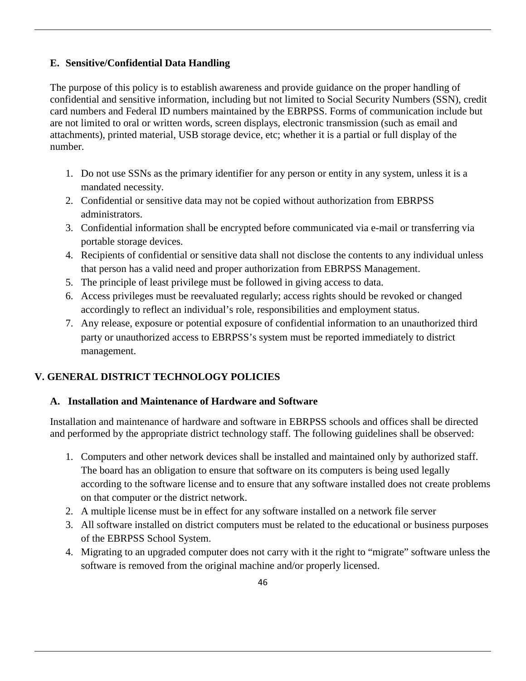#### **E. Sensitive/Confidential Data Handling**

The purpose of this policy is to establish awareness and provide guidance on the proper handling of confidential and sensitive information, including but not limited to Social Security Numbers (SSN), credit card numbers and Federal ID numbers maintained by the EBRPSS. Forms of communication include but are not limited to oral or written words, screen displays, electronic transmission (such as email and attachments), printed material, USB storage device, etc; whether it is a partial or full display of the number.

- 1. Do not use SSNs as the primary identifier for any person or entity in any system, unless it is a mandated necessity.
- 2. Confidential or sensitive data may not be copied without authorization from EBRPSS administrators.
- 3. Confidential information shall be encrypted before communicated via e-mail or transferring via portable storage devices.
- 4. Recipients of confidential or sensitive data shall not disclose the contents to any individual unless that person has a valid need and proper authorization from EBRPSS Management.
- 5. The principle of least privilege must be followed in giving access to data.
- 6. Access privileges must be reevaluated regularly; access rights should be revoked or changed accordingly to reflect an individual's role, responsibilities and employment status.
- 7. Any release, exposure or potential exposure of confidential information to an unauthorized third party or unauthorized access to EBRPSS's system must be reported immediately to district management.

#### **V. GENERAL DISTRICT TECHNOLOGY POLICIES**

#### **A. Installation and Maintenance of Hardware and Software**

Installation and maintenance of hardware and software in EBRPSS schools and offices shall be directed and performed by the appropriate district technology staff. The following guidelines shall be observed:

- 1. Computers and other network devices shall be installed and maintained only by authorized staff. The board has an obligation to ensure that software on its computers is being used legally according to the software license and to ensure that any software installed does not create problems on that computer or the district network.
- 2. A multiple license must be in effect for any software installed on a network file server
- 3. All software installed on district computers must be related to the educational or business purposes of the EBRPSS School System.
- 4. Migrating to an upgraded computer does not carry with it the right to "migrate" software unless the software is removed from the original machine and/or properly licensed.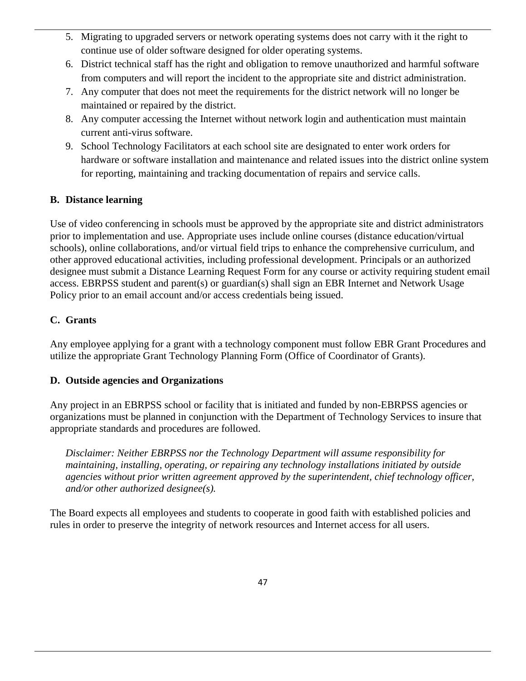- 5. Migrating to upgraded servers or network operating systems does not carry with it the right to continue use of older software designed for older operating systems.
- 6. District technical staff has the right and obligation to remove unauthorized and harmful software from computers and will report the incident to the appropriate site and district administration.
- 7. Any computer that does not meet the requirements for the district network will no longer be maintained or repaired by the district.
- 8. Any computer accessing the Internet without network login and authentication must maintain current anti-virus software.
- 9. School Technology Facilitators at each school site are designated to enter work orders for hardware or software installation and maintenance and related issues into the district online system for reporting, maintaining and tracking documentation of repairs and service calls.

#### **B. Distance learning**

Use of video conferencing in schools must be approved by the appropriate site and district administrators prior to implementation and use. Appropriate uses include online courses (distance education/virtual schools), online collaborations, and/or virtual field trips to enhance the comprehensive curriculum, and other approved educational activities, including professional development. Principals or an authorized designee must submit a Distance Learning Request Form for any course or activity requiring student email access. EBRPSS student and parent(s) or guardian(s) shall sign an EBR Internet and Network Usage Policy prior to an email account and/or access credentials being issued.

#### **C. Grants**

Any employee applying for a grant with a technology component must follow EBR Grant Procedures and utilize the appropriate Grant Technology Planning Form (Office of Coordinator of Grants).

#### **D. Outside agencies and Organizations**

Any project in an EBRPSS school or facility that is initiated and funded by non-EBRPSS agencies or organizations must be planned in conjunction with the Department of Technology Services to insure that appropriate standards and procedures are followed.

*Disclaimer: Neither EBRPSS nor the Technology Department will assume responsibility for maintaining, installing, operating, or repairing any technology installations initiated by outside agencies without prior written agreement approved by the superintendent, chief technology officer, and/or other authorized designee(s).* 

The Board expects all employees and students to cooperate in good faith with established policies and rules in order to preserve the integrity of network resources and Internet access for all users.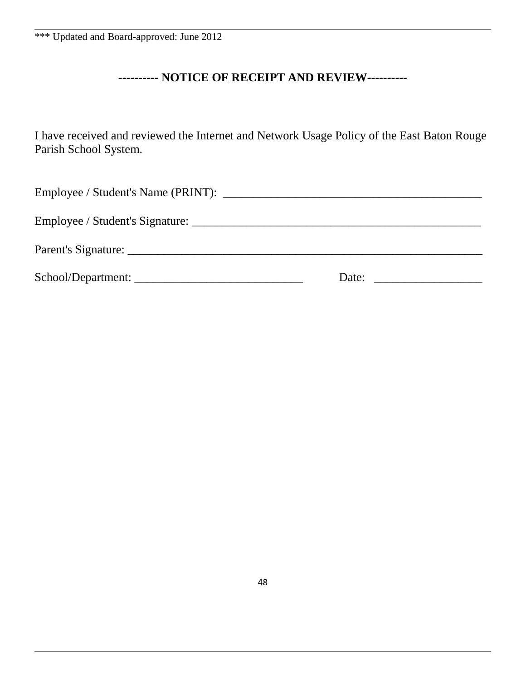#### **---------- NOTICE OF RECEIPT AND REVIEW----------**

I have received and reviewed the Internet and Network Usage Policy of the East Baton Rouge Parish School System.

| School/Department: | Date: Date: |
|--------------------|-------------|